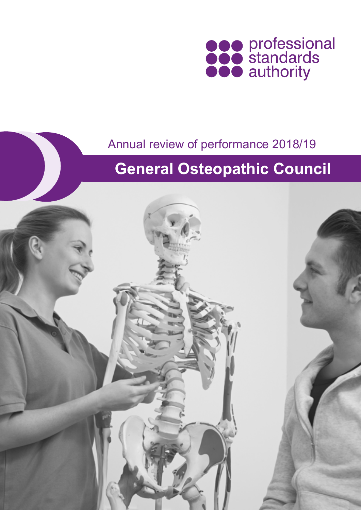

### Annual review of performance 2018/19

## **General Osteopathic Council**

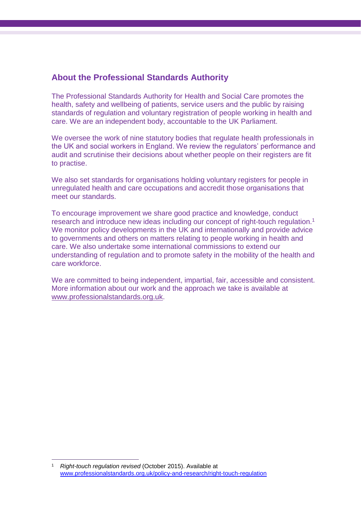### **About the Professional Standards Authority**

The Professional Standards Authority for Health and Social Care promotes the health, safety and wellbeing of patients, service users and the public by raising standards of regulation and voluntary registration of people working in health and care. We are an independent body, accountable to the UK Parliament.

We oversee the work of nine statutory bodies that regulate health professionals in the UK and social workers in England. We review the regulators' performance and audit and scrutinise their decisions about whether people on their registers are fit to practise.

We also set standards for organisations holding voluntary registers for people in unregulated health and care occupations and accredit those organisations that meet our standards.

To encourage improvement we share good practice and knowledge, conduct research and introduce new ideas including our concept of right-touch regulation.<sup>1</sup> We monitor policy developments in the UK and internationally and provide advice to governments and others on matters relating to people working in health and care. We also undertake some international commissions to extend our understanding of regulation and to promote safety in the mobility of the health and care workforce.

We are committed to being independent, impartial, fair, accessible and consistent. More information about our work and the approach we take is available at [www.professionalstandards.org.uk.](http://www.professionalstandards.org.uk/)

<sup>1</sup> *Right-touch regulation revised* (October 2015). Available at [www.professionalstandards.org.uk/policy-and-research/right-touch-regulation](file:///D:/Users/chigham/AppData/Local/Microsoft/Windows/Temporary%20Internet%20Files/Content.Outlook/C351OHI4/www.professionalstandards.org.uk/policy-and-research/right-touch-regulation)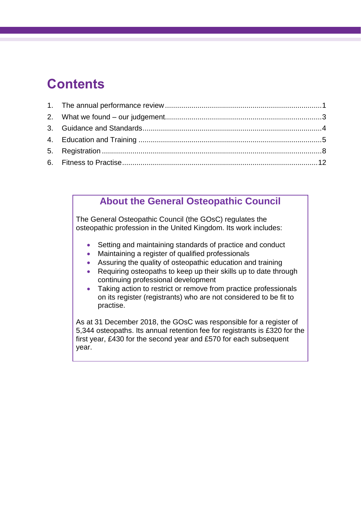### **Contents**

### **About the General Osteopathic Council**

The General Osteopathic Council (the GOsC) regulates the osteopathic profession in the United Kingdom. Its work includes:

- Setting and maintaining standards of practice and conduct
- Maintaining a register of qualified professionals
- Assuring the quality of osteopathic education and training
- Requiring osteopaths to keep up their skills up to date through continuing professional development
- Taking action to restrict or remove from practice professionals on its register (registrants) who are not considered to be fit to practise.

As at 31 December 2018, the GOsC was responsible for a register of 5,344 osteopaths. Its annual retention fee for registrants is £320 for the first year, £430 for the second year and £570 for each subsequent year.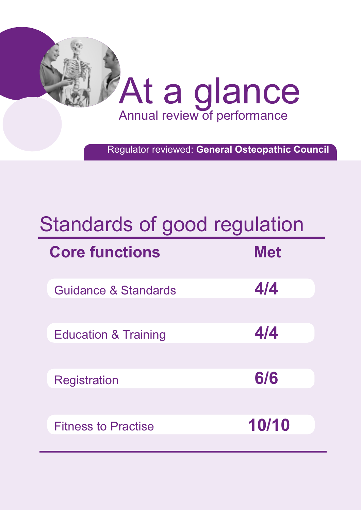

Regulator reviewed: **General Osteopathic Council**

# Standards of good regulation

| <b>Core functions</b>           | <b>Met</b> |
|---------------------------------|------------|
| <b>Guidance &amp; Standards</b> | 4/4        |
| <b>Education &amp; Training</b> | 4/4        |
| <b>Registration</b>             | 6/6        |
| <b>Fitness to Practise</b>      | 10/10      |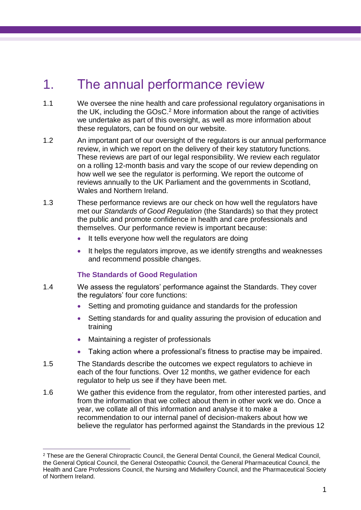### <span id="page-4-0"></span>1. The annual performance review

- 1.1 We oversee the nine health and care professional regulatory organisations in the UK, including the GOsC. <sup>2</sup> More information about the range of activities we undertake as part of this oversight, as well as more information about these regulators, can be found on our website.
- 1.2 An important part of our oversight of the regulators is our annual performance review, in which we report on the delivery of their key statutory functions. These reviews are part of our legal responsibility. We review each regulator on a rolling 12-month basis and vary the scope of our review depending on how well we see the regulator is performing. We report the outcome of reviews annually to the UK Parliament and the governments in Scotland, Wales and Northern Ireland
- 1.3 These performance reviews are our check on how well the regulators have met our *Standards of Good Regulation* (the Standards) so that they protect the public and promote confidence in health and care professionals and themselves. Our performance review is important because:
	- It tells everyone how well the regulators are doing
	- It helps the regulators improve, as we identify strengths and weaknesses and recommend possible changes.

#### **The Standards of Good Regulation**

- 1.4 We assess the regulators' performance against the Standards. They cover the regulators' four core functions:
	- Setting and promoting guidance and standards for the profession
	- Setting standards for and quality assuring the provision of education and training
	- Maintaining a register of professionals
	- Taking action where a professional's fitness to practise may be impaired.
- 1.5 The Standards describe the outcomes we expect regulators to achieve in each of the four functions. Over 12 months, we gather evidence for each regulator to help us see if they have been met.
- 1.6 We gather this evidence from the regulator, from other interested parties, and from the information that we collect about them in other work we do. Once a year, we collate all of this information and analyse it to make a recommendation to our internal panel of decision-makers about how we believe the regulator has performed against the Standards in the previous 12

 $\overline{a}$ <sup>2</sup> These are the General Chiropractic Council, the General Dental Council, the General Medical Council, the General Optical Council, the General Osteopathic Council, the General Pharmaceutical Council, the Health and Care Professions Council, the Nursing and Midwifery Council, and the Pharmaceutical Society of Northern Ireland.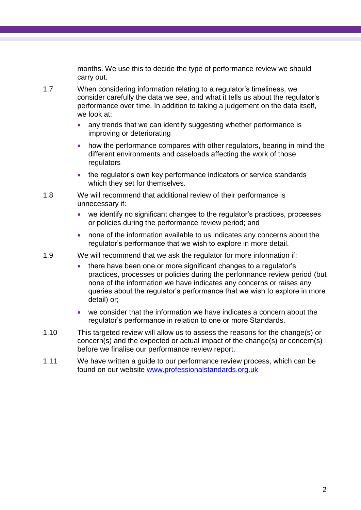months. We use this to decide the type of performance review we should carry out.

- 1.7 When considering information relating to a regulator's timeliness, we consider carefully the data we see, and what it tells us about the regulator's performance over time. In addition to taking a judgement on the data itself, we look at:
	- any trends that we can identify suggesting whether performance is improving or deteriorating
	- how the performance compares with other regulators, bearing in mind the different environments and caseloads affecting the work of those regulators
	- the regulator's own key performance indicators or service standards which they set for themselves.
- 1.8 We will recommend that additional review of their performance is unnecessary if:
	- we identify no significant changes to the regulator's practices, processes or policies during the performance review period; and
	- none of the information available to us indicates any concerns about the regulator's performance that we wish to explore in more detail.
- 1.9 We will recommend that we ask the regulator for more information if:
	- there have been one or more significant changes to a regulator's practices, processes or policies during the performance review period (but none of the information we have indicates any concerns or raises any queries about the regulator's performance that we wish to explore in more detail) or;
	- we consider that the information we have indicates a concern about the regulator's performance in relation to one or more Standards.
- 1.10 This targeted review will allow us to assess the reasons for the change(s) or concern(s) and the expected or actual impact of the change(s) or concern(s) before we finalise our performance review report.
- 1.11 We have written a guide to our performance review process, which can be found on our website [www.professionalstandards.org.uk](http://www.professionalstandards.org.uk/)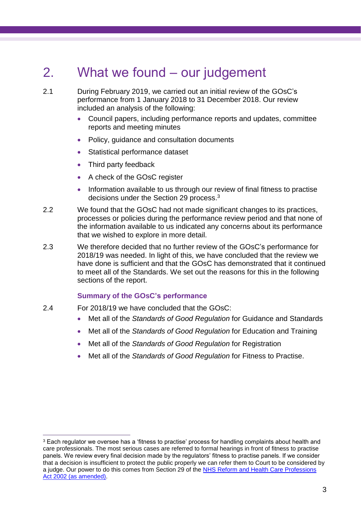### <span id="page-6-0"></span>2. What we found – our judgement

2.1 During February 2019, we carried out an initial review of the GOsC's performance from 1 January 2018 to 31 December 2018. Our review included an analysis of the following:

- Council papers, including performance reports and updates, committee reports and meeting minutes
- Policy, guidance and consultation documents
- Statistical performance dataset
- Third party feedback
- A check of the GOsC register
- Information available to us through our review of final fitness to practise decisions under the Section 29 process.<sup>3</sup>
- 2.2 We found that the GOsC had not made significant changes to its practices, processes or policies during the performance review period and that none of the information available to us indicated any concerns about its performance that we wished to explore in more detail.
- 2.3 We therefore decided that no further review of the GOsC's performance for 2018/19 was needed. In light of this, we have concluded that the review we have done is sufficient and that the GOsC has demonstrated that it continued to meet all of the Standards. We set out the reasons for this in the following sections of the report.

#### **Summary of the GOsC's performance**

2.4 For 2018/19 we have concluded that the GOsC:

- Met all of the *Standards of Good Regulation* for Guidance and Standards
- Met all of the *Standards of Good Regulation* for Education and Training
- Met all of the *Standards of Good Regulation* for Registration
- <span id="page-6-1"></span>• Met all of the *Standards of Good Regulation* for Fitness to Practise.

<sup>&</sup>lt;sup>3</sup> Each regulator we oversee has a 'fitness to practise' process for handling complaints about health and care professionals. The most serious cases are referred to formal hearings in front of fitness to practise panels. We review every final decision made by the regulators' fitness to practise panels. If we consider that a decision is insufficient to protect the public properly we can refer them to Court to be considered by a judge. Our power to do this comes from Section 29 of the [NHS Reform and Health Care Professions](http://www.legislation.gov.uk/ukpga/2002/17/contents)  [Act 2002 \(as amended\).](http://www.legislation.gov.uk/ukpga/2002/17/contents)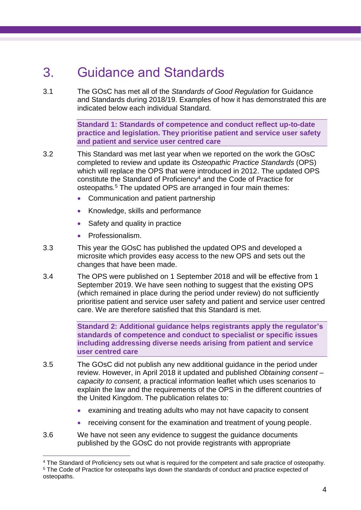### 3. Guidance and Standards

3.1 The GOsC has met all of the *Standards of Good Regulation* for Guidance and Standards during 2018/19. Examples of how it has demonstrated this are indicated below each individual Standard.

> **Standard 1: Standards of competence and conduct reflect up-to-date practice and legislation. They prioritise patient and service user safety and patient and service user centred care**

- 3.2 This Standard was met last year when we reported on the work the GOsC completed to review and update its *Osteopathic Practice Standards* (OPS) which will replace the OPS that were introduced in 2012. The updated OPS constitute the Standard of Proficiency<sup>4</sup> and the Code of Practice for osteopaths*.* <sup>5</sup> The updated OPS are arranged in four main themes:
	- Communication and patient partnership
	- Knowledge, skills and performance
	- Safety and quality in practice
	- Professionalism.

 $\overline{a}$ 

- 3.3 This year the GOsC has published the updated OPS and developed a microsite which provides easy access to the new OPS and sets out the changes that have been made.
- 3.4 The OPS were published on 1 September 2018 and will be effective from 1 September 2019. We have seen nothing to suggest that the existing OPS (which remained in place during the period under review) do not sufficiently prioritise patient and service user safety and patient and service user centred care. We are therefore satisfied that this Standard is met.

**Standard 2: Additional guidance helps registrants apply the regulator's standards of competence and conduct to specialist or specific issues including addressing diverse needs arising from patient and service user centred care**

- 3.5 The GOsC did not publish any new additional guidance in the period under review. However, in April 2018 it updated and published *Obtaining consent – capacity to consent,* a practical information leaflet which uses scenarios to explain the law and the requirements of the OPS in the different countries of the United Kingdom. The publication relates to:
	- examining and treating adults who may not have capacity to consent
	- receiving consent for the examination and treatment of young people.
- 3.6 We have not seen any evidence to suggest the guidance documents published by the GOsC do not provide registrants with appropriate

<sup>4</sup> The Standard of Proficiency sets out what is required for the competent and safe practice of osteopathy. <sup>5</sup> The Code of Practice for osteopaths lays down the standards of conduct and practice expected of osteopaths.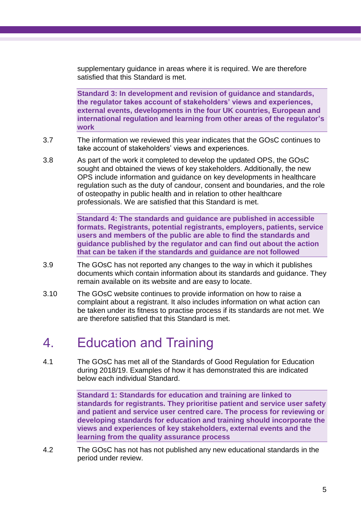supplementary guidance in areas where it is required. We are therefore satisfied that this Standard is met.

**Standard 3: In development and revision of guidance and standards, the regulator takes account of stakeholders' views and experiences, external events, developments in the four UK countries, European and international regulation and learning from other areas of the regulator's work**

- 3.7 The information we reviewed this year indicates that the GOsC continues to take account of stakeholders' views and experiences.
- 3.8 As part of the work it completed to develop the updated OPS, the GOsC sought and obtained the views of key stakeholders. Additionally, the new OPS include information and guidance on key developments in healthcare regulation such as the duty of candour, consent and boundaries, and the role of osteopathy in public health and in relation to other healthcare professionals. We are satisfied that this Standard is met.

**Standard 4: The standards and guidance are published in accessible formats. Registrants, potential registrants, employers, patients, service users and members of the public are able to find the standards and guidance published by the regulator and can find out about the action that can be taken if the standards and guidance are not followed**

- 3.9 The GOsC has not reported any changes to the way in which it publishes documents which contain information about its standards and guidance. They remain available on its website and are easy to locate.
- 3.10 The GOsC website continues to provide information on how to raise a complaint about a registrant. It also includes information on what action can be taken under its fitness to practise process if its standards are not met. We are therefore satisfied that this Standard is met.

### <span id="page-8-0"></span>4. Education and Training

4.1 The GOsC has met all of the Standards of Good Regulation for Education during 2018/19. Examples of how it has demonstrated this are indicated below each individual Standard.

> **Standard 1: Standards for education and training are linked to standards for registrants. They prioritise patient and service user safety and patient and service user centred care. The process for reviewing or developing standards for education and training should incorporate the views and experiences of key stakeholders, external events and the learning from the quality assurance process**

4.2 The GOsC has not has not published any new educational standards in the period under review.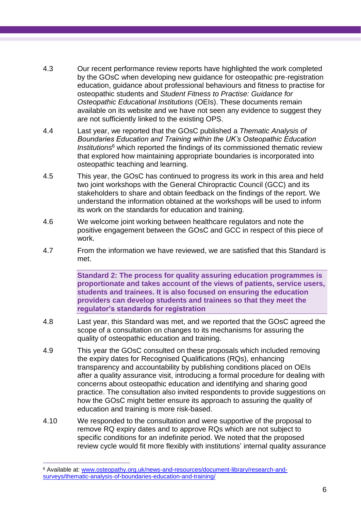- 4.3 Our recent performance review reports have highlighted the work completed by the GOsC when developing new guidance for osteopathic pre-registration education, guidance about professional behaviours and fitness to practise for osteopathic students and *Student Fitness to Practise: Guidance for Osteopathic Educational Institutions* (OEIs). These documents remain available on its website and we have not seen any evidence to suggest they are not sufficiently linked to the existing OPS.
- 4.4 Last year, we reported that the GOsC published a *Thematic Analysis of Boundaries Education and Training within the UK's Osteopathic Education Institutions*<sup>6</sup> which reported the findings of its commissioned thematic review that explored how maintaining appropriate boundaries is incorporated into osteopathic teaching and learning.
- 4.5 This year, the GOsC has continued to progress its work in this area and held two joint workshops with the General Chiropractic Council (GCC) and its stakeholders to share and obtain feedback on the findings of the report. We understand the information obtained at the workshops will be used to inform its work on the standards for education and training.
- 4.6 We welcome joint working between healthcare regulators and note the positive engagement between the GOsC and GCC in respect of this piece of work.
- 4.7 From the information we have reviewed, we are satisfied that this Standard is met.

**Standard 2: The process for quality assuring education programmes is proportionate and takes account of the views of patients, service users, students and trainees. It is also focused on ensuring the education providers can develop students and trainees so that they meet the regulator's standards for registration**

- 4.8 Last year, this Standard was met, and we reported that the GOsC agreed the scope of a consultation on changes to its mechanisms for assuring the quality of osteopathic education and training.
- 4.9 This year the GOsC consulted on these proposals which included removing the expiry dates for Recognised Qualifications (RQs), enhancing transparency and accountability by publishing conditions placed on OEIs after a quality assurance visit, introducing a formal procedure for dealing with concerns about osteopathic education and identifying and sharing good practice. The consultation also invited respondents to provide suggestions on how the GOsC might better ensure its approach to assuring the quality of education and training is more risk-based.
- 4.10 We responded to the consultation and were supportive of the proposal to remove RQ expiry dates and to approve RQs which are not subject to specific conditions for an indefinite period. We noted that the proposed review cycle would fit more flexibly with institutions' internal quality assurance

<sup>6</sup> Available at: [www.osteopathy.org.uk/news-and-resources/document-library/research-and](file:///D:/Users/chigham/AppData/Local/Microsoft/Windows/Temporary%20Internet%20Files/Content.Outlook/C351OHI4/www.osteopathy.org.uk/news-and-resources/document-library/research-and-surveys/thematic-analysis-of-boundaries-education-and-training/)[surveys/thematic-analysis-of-boundaries-education-and-training/](file:///D:/Users/chigham/AppData/Local/Microsoft/Windows/Temporary%20Internet%20Files/Content.Outlook/C351OHI4/www.osteopathy.org.uk/news-and-resources/document-library/research-and-surveys/thematic-analysis-of-boundaries-education-and-training/)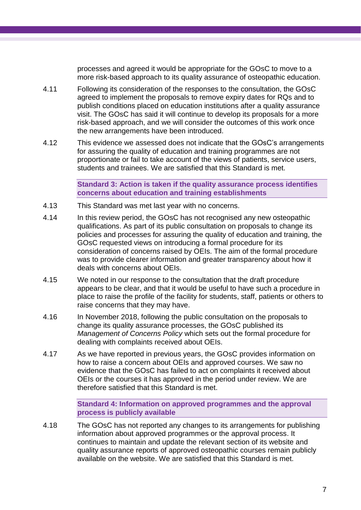processes and agreed it would be appropriate for the GOsC to move to a more risk-based approach to its quality assurance of osteopathic education.

- 4.11 Following its consideration of the responses to the consultation, the GOsC agreed to implement the proposals to remove expiry dates for RQs and to publish conditions placed on education institutions after a quality assurance visit. The GOsC has said it will continue to develop its proposals for a more risk-based approach, and we will consider the outcomes of this work once the new arrangements have been introduced.
- 4.12 This evidence we assessed does not indicate that the GOsC's arrangements for assuring the quality of education and training programmes are not proportionate or fail to take account of the views of patients, service users, students and trainees. We are satisfied that this Standard is met.

**Standard 3: Action is taken if the quality assurance process identifies concerns about education and training establishments**

- 4.13 This Standard was met last year with no concerns.
- 4.14 In this review period, the GOsC has not recognised any new osteopathic qualifications. As part of its public consultation on proposals to change its policies and processes for assuring the quality of education and training, the GOsC requested views on introducing a formal procedure for its consideration of concerns raised by OEIs. The aim of the formal procedure was to provide clearer information and greater transparency about how it deals with concerns about OEIs.
- 4.15 We noted in our response to the consultation that the draft procedure appears to be clear, and that it would be useful to have such a procedure in place to raise the profile of the facility for students, staff, patients or others to raise concerns that they may have.
- 4.16 In November 2018, following the public consultation on the proposals to change its quality assurance processes, the GOsC published its *Management of Concerns Policy* which sets out the formal procedure for dealing with complaints received about OEIs.
- 4.17 As we have reported in previous years, the GOsC provides information on how to raise a concern about OEIs and approved courses. We saw no evidence that the GOsC has failed to act on complaints it received about OEIs or the courses it has approved in the period under review. We are therefore satisfied that this Standard is met.

**Standard 4: Information on approved programmes and the approval process is publicly available**

4.18 The GOsC has not reported any changes to its arrangements for publishing information about approved programmes or the approval process. It continues to maintain and update the relevant section of its website and quality assurance reports of approved osteopathic courses remain publicly available on the website. We are satisfied that this Standard is met.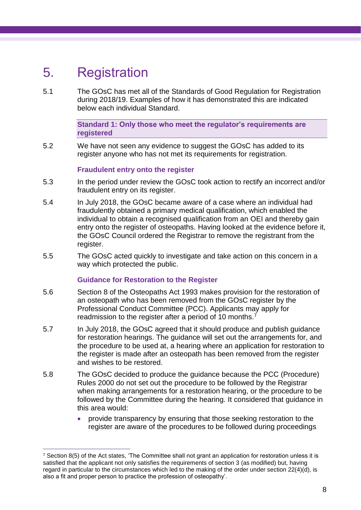### <span id="page-11-0"></span>5. Registration

 $\overline{a}$ 

5.1 The GOsC has met all of the Standards of Good Regulation for Registration during 2018/19. Examples of how it has demonstrated this are indicated below each individual Standard.

> **Standard 1: Only those who meet the regulator's requirements are registered**

5.2 We have not seen any evidence to suggest the GOsC has added to its register anyone who has not met its requirements for registration.

#### **Fraudulent entry onto the register**

- 5.3 In the period under review the GOsC took action to rectify an incorrect and/or fraudulent entry on its register.
- 5.4 In July 2018, the GOsC became aware of a case where an individual had fraudulently obtained a primary medical qualification, which enabled the individual to obtain a recognised qualification from an OEI and thereby gain entry onto the register of osteopaths. Having looked at the evidence before it, the GOsC Council ordered the Registrar to remove the registrant from the register.
- 5.5 The GOsC acted quickly to investigate and take action on this concern in a way which protected the public.

### **Guidance for Restoration to the Register**

- 5.6 Section 8 of the Osteopaths Act 1993 makes provision for the restoration of an osteopath who has been removed from the GOsC register by the Professional Conduct Committee (PCC). Applicants may apply for readmission to the register after a period of 10 months.<sup>7</sup>
- 5.7 In July 2018, the GOsC agreed that it should produce and publish guidance for restoration hearings. The guidance will set out the arrangements for, and the procedure to be used at, a hearing where an application for restoration to the register is made after an osteopath has been removed from the register and wishes to be restored.
- 5.8 The GOsC decided to produce the guidance because the PCC (Procedure) Rules 2000 do not set out the procedure to be followed by the Registrar when making arrangements for a restoration hearing, or the procedure to be followed by the Committee during the hearing. It considered that guidance in this area would:
	- provide transparency by ensuring that those seeking restoration to the register are aware of the procedures to be followed during proceedings

 $7$  Section 8(5) of the Act states, 'The Committee shall not grant an application for restoration unless it is satisfied that the applicant not only satisfies the requirements of section 3 (as modified) but, having regard in particular to the circumstances which led to the making of the order under section 22(4)(d), is also a fit and proper person to practice the profession of osteopathy'.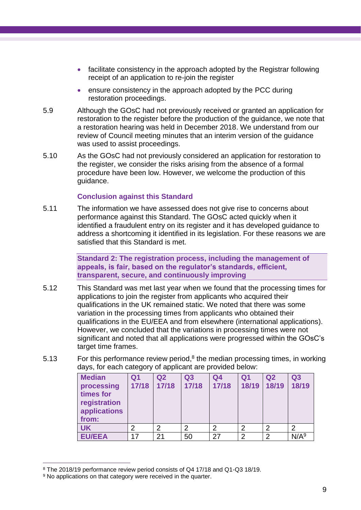- facilitate consistency in the approach adopted by the Registrar following receipt of an application to re-join the register
- ensure consistency in the approach adopted by the PCC during restoration proceedings.
- 5.9 Although the GOsC had not previously received or granted an application for restoration to the register before the production of the guidance, we note that a restoration hearing was held in December 2018. We understand from our review of Council meeting minutes that an interim version of the guidance was used to assist proceedings.
- 5.10 As the GOsC had not previously considered an application for restoration to the register, we consider the risks arising from the absence of a formal procedure have been low. However, we welcome the production of this guidance.

### **Conclusion against this Standard**

5.11 The information we have assessed does not give rise to concerns about performance against this Standard. The GOsC acted quickly when it identified a fraudulent entry on its register and it has developed guidance to address a shortcoming it identified in its legislation. For these reasons we are satisfied that this Standard is met.

> **Standard 2: The registration process, including the management of appeals, is fair, based on the regulator's standards, efficient, transparent, secure, and continuously improving**

- 5.12 This Standard was met last year when we found that the processing times for applications to join the register from applicants who acquired their qualifications in the UK remained static. We noted that there was some variation in the processing times from applicants who obtained their qualifications in the EU/EEA and from elsewhere (international applications). However, we concluded that the variations in processing times were not significant and noted that all applications were progressed within the GOsC's target time frames.
- 5.13 For this performance review period, $8$  the median processing times, in working days, for each category of applicant are provided below:

| <b>Median</b><br>processing<br>times for<br>registration<br>applications<br>from: | Q <sub>1</sub><br>17/18 | Q <sub>2</sub><br>17/18 | Q3<br>17/18 | Q <sub>4</sub><br>17/18 | Q <sub>1</sub><br>18/19 | Q <sub>2</sub><br>18/19 | Q <sub>3</sub><br>18/19 |
|-----------------------------------------------------------------------------------|-------------------------|-------------------------|-------------|-------------------------|-------------------------|-------------------------|-------------------------|
| <b>UK</b>                                                                         | ⌒                       | 2                       | 2           | 2                       | $\overline{2}$          | $\overline{2}$          | $\overline{2}$          |
| <b>EU/EEA</b>                                                                     | 17                      | 21                      | 50          | 27                      | $\overline{2}$          | $\overline{2}$          | N/A <sup>9</sup>        |

 $\overline{a}$ <sup>8</sup> The 2018/19 performance review period consists of Q4 17/18 and Q1-Q3 18/19.

<sup>&</sup>lt;sup>9</sup> No applications on that category were received in the quarter.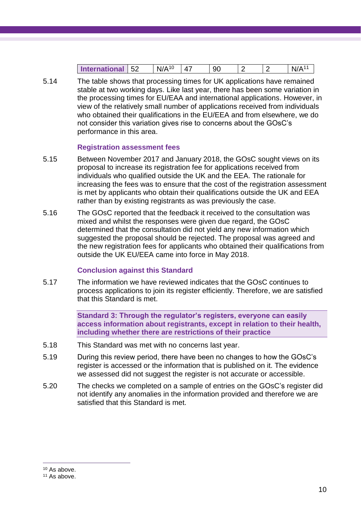| nternational<br><b>Inte</b> | БQ<br>ےכ | r<br>NI. | л<br>. . | u<br>◡◡ |  | n |
|-----------------------------|----------|----------|----------|---------|--|---|

5.14 The table shows that processing times for UK applications have remained stable at two working days. Like last year, there has been some variation in the processing times for EU/EAA and international applications. However, in view of the relatively small number of applications received from individuals who obtained their qualifications in the EU/EEA and from elsewhere, we do not consider this variation gives rise to concerns about the GOsC's performance in this area.

### **Registration assessment fees**

- 5.15 Between November 2017 and January 2018, the GOsC sought views on its proposal to increase its registration fee for applications received from individuals who qualified outside the UK and the EEA. The rationale for increasing the fees was to ensure that the cost of the registration assessment is met by applicants who obtain their qualifications outside the UK and EEA rather than by existing registrants as was previously the case.
- 5.16 The GOsC reported that the feedback it received to the consultation was mixed and whilst the responses were given due regard, the GOsC determined that the consultation did not yield any new information which suggested the proposal should be rejected. The proposal was agreed and the new registration fees for applicants who obtained their qualifications from outside the UK EU/EEA came into force in May 2018.

### **Conclusion against this Standard**

5.17 The information we have reviewed indicates that the GOsC continues to process applications to join its register efficiently. Therefore, we are satisfied that this Standard is met.

> **Standard 3: Through the regulator's registers, everyone can easily access information about registrants, except in relation to their health, including whether there are restrictions of their practice**

- 5.18 This Standard was met with no concerns last year.
- 5.19 During this review period, there have been no changes to how the GOsC's register is accessed or the information that is published on it. The evidence we assessed did not suggest the register is not accurate or accessible.
- 5.20 The checks we completed on a sample of entries on the GOsC's register did not identify any anomalies in the information provided and therefore we are satisfied that this Standard is met.

<sup>&</sup>lt;sup>10</sup> As above.

<sup>11</sup> As above.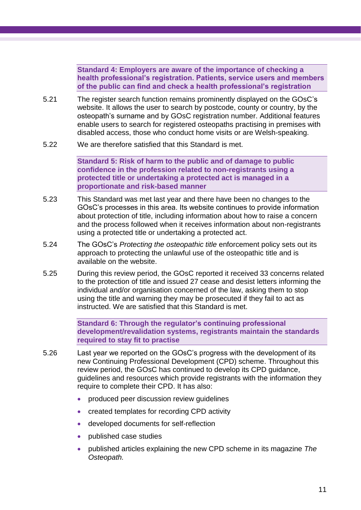**Standard 4: Employers are aware of the importance of checking a health professional's registration. Patients, service users and members of the public can find and check a health professional's registration**

- 5.21 The register search function remains prominently displayed on the GOsC's website. It allows the user to search by postcode, county or country, by the osteopath's surname and by GOsC registration number. Additional features enable users to search for registered osteopaths practising in premises with disabled access, those who conduct home visits or are Welsh-speaking.
- 5.22 We are therefore satisfied that this Standard is met.

**Standard 5: Risk of harm to the public and of damage to public confidence in the profession related to non-registrants using a protected title or undertaking a protected act is managed in a proportionate and risk-based manner**

- 5.23 This Standard was met last year and there have been no changes to the GOsC's processes in this area. Its website continues to provide information about protection of title, including information about how to raise a concern and the process followed when it receives information about non-registrants using a protected title or undertaking a protected act.
- 5.24 The GOsC's *Protecting the osteopathic title* enforcement policy sets out its approach to protecting the unlawful use of the osteopathic title and is available on the website.
- 5.25 During this review period, the GOsC reported it received 33 concerns related to the protection of title and issued 27 cease and desist letters informing the individual and/or organisation concerned of the law, asking them to stop using the title and warning they may be prosecuted if they fail to act as instructed. We are satisfied that this Standard is met.

**Standard 6: Through the regulator's continuing professional development/revalidation systems, registrants maintain the standards required to stay fit to practise**

- 5.26 Last year we reported on the GOsC's progress with the development of its new Continuing Professional Development (CPD) scheme. Throughout this review period, the GOsC has continued to develop its CPD guidance, guidelines and resources which provide registrants with the information they require to complete their CPD. It has also:
	- produced peer discussion review guidelines
	- created templates for recording CPD activity
	- developed documents for self-reflection
	- published case studies
	- published articles explaining the new CPD scheme in its magazine *The Osteopath.*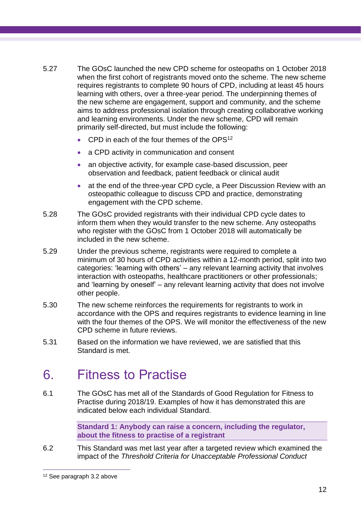- 5.27 The GOsC launched the new CPD scheme for osteopaths on 1 October 2018 when the first cohort of registrants moved onto the scheme. The new scheme requires registrants to complete 90 hours of CPD, including at least 45 hours learning with others, over a three-year period. The underpinning themes of the new scheme are engagement, support and community, and the scheme aims to address professional isolation through creating collaborative working and learning environments. Under the new scheme, CPD will remain primarily self-directed, but must include the following:
	- CPD in each of the four themes of the OPS<sup>12</sup>
	- a CPD activity in communication and consent
	- an objective activity, for example case-based discussion, peer observation and feedback, patient feedback or clinical audit
	- at the end of the three-year CPD cycle, a Peer Discussion Review with an osteopathic colleague to discuss CPD and practice, demonstrating engagement with the CPD scheme.
- 5.28 The GOsC provided registrants with their individual CPD cycle dates to inform them when they would transfer to the new scheme. Any osteopaths who register with the GOsC from 1 October 2018 will automatically be included in the new scheme.
- 5.29 Under the previous scheme, registrants were required to complete a minimum of 30 hours of CPD activities within a 12-month period, split into two categories: 'learning with others' – any relevant learning activity that involves interaction with osteopaths, healthcare practitioners or other professionals; and 'learning by oneself' – any relevant learning activity that does not involve other people.
- 5.30 The new scheme reinforces the requirements for registrants to work in accordance with the OPS and requires registrants to evidence learning in line with the four themes of the OPS. We will monitor the effectiveness of the new CPD scheme in future reviews.
- 5.31 Based on the information we have reviewed, we are satisfied that this Standard is met.

### <span id="page-15-0"></span>6. Fitness to Practise

6.1 The GOsC has met all of the Standards of Good Regulation for Fitness to Practise during 2018/19. Examples of how it has demonstrated this are indicated below each individual Standard.

> **Standard 1: Anybody can raise a concern, including the regulator, about the fitness to practise of a registrant**

6.2 This Standard was met last year after a targeted review which examined the impact of the *Threshold Criteria for Unacceptable Professional Conduct*

<sup>12</sup> See paragraph 3.2 above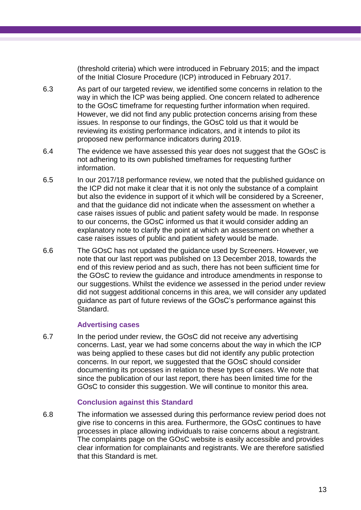(threshold criteria) which were introduced in February 2015; and the impact of the Initial Closure Procedure (ICP) introduced in February 2017.

- 6.3 As part of our targeted review, we identified some concerns in relation to the way in which the ICP was being applied. One concern related to adherence to the GOsC timeframe for requesting further information when required. However, we did not find any public protection concerns arising from these issues. In response to our findings, the GOsC told us that it would be reviewing its existing performance indicators, and it intends to pilot its proposed new performance indicators during 2019.
- 6.4 The evidence we have assessed this year does not suggest that the GOsC is not adhering to its own published timeframes for requesting further information.
- 6.5 In our 2017/18 performance review, we noted that the published guidance on the ICP did not make it clear that it is not only the substance of a complaint but also the evidence in support of it which will be considered by a Screener, and that the guidance did not indicate when the assessment on whether a case raises issues of public and patient safety would be made. In response to our concerns, the GOsC informed us that it would consider adding an explanatory note to clarify the point at which an assessment on whether a case raises issues of public and patient safety would be made.
- 6.6 The GOsC has not updated the guidance used by Screeners. However, we note that our last report was published on 13 December 2018, towards the end of this review period and as such, there has not been sufficient time for the GOsC to review the guidance and introduce amendments in response to our suggestions. Whilst the evidence we assessed in the period under review did not suggest additional concerns in this area, we will consider any updated guidance as part of future reviews of the GOsC's performance against this Standard.

### **Advertising cases**

6.7 In the period under review, the GOsC did not receive any advertising concerns. Last, year we had some concerns about the way in which the ICP was being applied to these cases but did not identify any public protection concerns. In our report, we suggested that the GOsC should consider documenting its processes in relation to these types of cases. We note that since the publication of our last report, there has been limited time for the GOsC to consider this suggestion. We will continue to monitor this area.

### **Conclusion against this Standard**

6.8 The information we assessed during this performance review period does not give rise to concerns in this area. Furthermore, the GOsC continues to have processes in place allowing individuals to raise concerns about a registrant. The complaints page on the GOsC website is easily accessible and provides clear information for complainants and registrants. We are therefore satisfied that this Standard is met.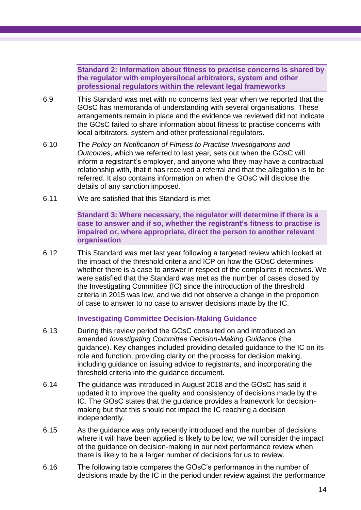**Standard 2: Information about fitness to practise concerns is shared by the regulator with employers/local arbitrators, system and other professional regulators within the relevant legal frameworks**

- 6.9 This Standard was met with no concerns last year when we reported that the GOsC has memoranda of understanding with several organisations. These arrangements remain in place and the evidence we reviewed did not indicate the GOsC failed to share information about fitness to practise concerns with local arbitrators, system and other professional regulators.
- 6.10 The *Policy on Notification of Fitness to Practise Investigations and Outcomes*, which we referred to last year, sets out when the GOsC will inform a registrant's employer, and anyone who they may have a contractual relationship with, that it has received a referral and that the allegation is to be referred. It also contains information on when the GOsC will disclose the details of any sanction imposed.
- 6.11 We are satisfied that this Standard is met.

**Standard 3: Where necessary, the regulator will determine if there is a case to answer and if so, whether the registrant's fitness to practise is impaired or, where appropriate, direct the person to another relevant organisation**

6.12 This Standard was met last year following a targeted review which looked at the impact of the threshold criteria and ICP on how the GOsC determines whether there is a case to answer in respect of the complaints it receives. We were satisfied that the Standard was met as the number of cases closed by the Investigating Committee (IC) since the introduction of the threshold criteria in 2015 was low, and we did not observe a change in the proportion of case to answer to no case to answer decisions made by the IC.

#### **Investigating Committee Decision-Making Guidance**

- 6.13 During this review period the GOsC consulted on and introduced an amended *Investigating Committee Decision-Making Guidance* (the guidance). Key changes included providing detailed guidance to the IC on its role and function, providing clarity on the process for decision making, including guidance on issuing advice to registrants, and incorporating the threshold criteria into the guidance document.
- 6.14 The guidance was introduced in August 2018 and the GOsC has said it updated it to improve the quality and consistency of decisions made by the IC. The GOsC states that the guidance provides a framework for decisionmaking but that this should not impact the IC reaching a decision independently.
- 6.15 As the guidance was only recently introduced and the number of decisions where it will have been applied is likely to be low, we will consider the impact of the guidance on decision-making in our next performance review when there is likely to be a larger number of decisions for us to review.
- 6.16 The following table compares the GOsC's performance in the number of decisions made by the IC in the period under review against the performance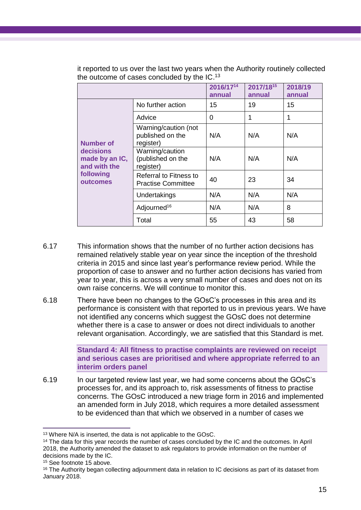|                                             |                                                            | 2016/1714<br>annual | 2017/1815<br>annual | 2018/19<br>annual |
|---------------------------------------------|------------------------------------------------------------|---------------------|---------------------|-------------------|
|                                             | No further action                                          | 15                  | 19                  | 15                |
|                                             | Advice                                                     | 0                   | 1                   | 1                 |
| <b>Number of</b>                            | Warning/caution (not<br>published on the<br>register)      | N/A                 | N/A                 | N/A               |
| decisions<br>made by an IC,<br>and with the | Warning/caution<br>(published on the<br>register)          | N/A                 | N/A                 | N/A               |
| following<br>outcomes                       | <b>Referral to Fitness to</b><br><b>Practise Committee</b> | 40                  | 23                  | 34                |
|                                             | Undertakings                                               | N/A                 | N/A                 | N/A               |
|                                             | Adjourned <sup>16</sup>                                    | N/A                 | N/A                 | 8                 |
|                                             | Total                                                      | 55                  | 43                  | 58                |

it reported to us over the last two years when the Authority routinely collected the outcome of cases concluded by the IC.<sup>13</sup>

- 6.17 This information shows that the number of no further action decisions has remained relatively stable year on year since the inception of the threshold criteria in 2015 and since last year's performance review period. While the proportion of case to answer and no further action decisions has varied from year to year, this is across a very small number of cases and does not on its own raise concerns. We will continue to monitor this.
- 6.18 There have been no changes to the GOsC's processes in this area and its performance is consistent with that reported to us in previous years. We have not identified any concerns which suggest the GOsC does not determine whether there is a case to answer or does not direct individuals to another relevant organisation. Accordingly, we are satisfied that this Standard is met.

**Standard 4: All fitness to practise complaints are reviewed on receipt and serious cases are prioritised and where appropriate referred to an interim orders panel**

6.19 In our targeted review last year, we had some concerns about the GOsC's processes for, and its approach to, risk assessments of fitness to practise concerns. The GOsC introduced a new triage form in 2016 and implemented an amended form in July 2018, which requires a more detailed assessment to be evidenced than that which we observed in a number of cases we

<sup>15</sup> See footnote 15 above.

 $\overline{a}$ <sup>13</sup> Where N/A is inserted, the data is not applicable to the GOsC.

<sup>&</sup>lt;sup>14</sup> The data for this year records the number of cases concluded by the IC and the outcomes. In April 2018, the Authority amended the dataset to ask regulators to provide information on the number of decisions made by the IC.

<sup>&</sup>lt;sup>16</sup> The Authority began collecting adjournment data in relation to IC decisions as part of its dataset from January 2018.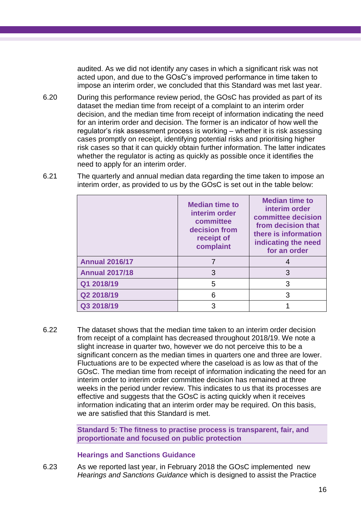audited. As we did not identify any cases in which a significant risk was not acted upon, and due to the GOsC's improved performance in time taken to impose an interim order, we concluded that this Standard was met last year.

6.20 During this performance review period, the GOsC has provided as part of its dataset the median time from receipt of a complaint to an interim order decision, and the median time from receipt of information indicating the need for an interim order and decision. The former is an indicator of how well the regulator's risk assessment process is working – whether it is risk assessing cases promptly on receipt, identifying potential risks and prioritising higher risk cases so that it can quickly obtain further information. The latter indicates whether the regulator is acting as quickly as possible once it identifies the need to apply for an interim order.

|                       | <b>Median time to</b><br>interim order<br>committee<br>decision from<br>receipt of<br>complaint | <b>Median time to</b><br>interim order<br>committee decision<br>from decision that<br>there is information<br>indicating the need<br>for an order |  |  |
|-----------------------|-------------------------------------------------------------------------------------------------|---------------------------------------------------------------------------------------------------------------------------------------------------|--|--|
| <b>Annual 2016/17</b> |                                                                                                 |                                                                                                                                                   |  |  |
| <b>Annual 2017/18</b> | 3                                                                                               | 3                                                                                                                                                 |  |  |
| Q1 2018/19            | 5                                                                                               | З                                                                                                                                                 |  |  |
| Q2 2018/19            | 6                                                                                               | 3                                                                                                                                                 |  |  |
| Q3 2018/19            |                                                                                                 |                                                                                                                                                   |  |  |

6.21 The quarterly and annual median data regarding the time taken to impose an interim order, as provided to us by the GOsC is set out in the table below:

6.22 The dataset shows that the median time taken to an interim order decision from receipt of a complaint has decreased throughout 2018/19. We note a slight increase in quarter two, however we do not perceive this to be a significant concern as the median times in quarters one and three are lower. Fluctuations are to be expected where the caseload is as low as that of the GOsC. The median time from receipt of information indicating the need for an interim order to interim order committee decision has remained at three weeks in the period under review. This indicates to us that its processes are effective and suggests that the GOsC is acting quickly when it receives information indicating that an interim order may be required. On this basis, we are satisfied that this Standard is met.

> **Standard 5: The fitness to practise process is transparent, fair, and proportionate and focused on public protection**

### **Hearings and Sanctions Guidance**

6.23 As we reported last year, in February 2018 the GOsC implemented new *Hearings and Sanctions Guidance* which is designed to assist the Practice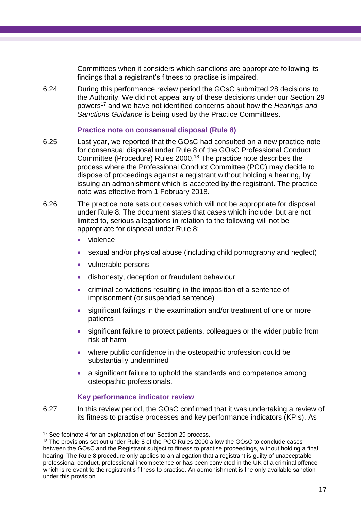Committees when it considers which sanctions are appropriate following its findings that a registrant's fitness to practise is impaired.

6.24 During this performance review period the GOsC submitted 28 decisions to the Authority. We did not appeal any of these decisions under our Section 29 powers<sup>17</sup> and we have not identified concerns about how the *Hearings and Sanctions Guidance* is being used by the Practice Committees.

### **Practice note on consensual disposal (Rule 8)**

- 6.25 Last year, we reported that the GOsC had consulted on a new practice note for consensual disposal under Rule 8 of the GOsC Professional Conduct Committee (Procedure) Rules 2000. <sup>18</sup> The practice note describes the process where the Professional Conduct Committee (PCC) may decide to dispose of proceedings against a registrant without holding a hearing, by issuing an admonishment which is accepted by the registrant. The practice note was effective from 1 February 2018.
- 6.26 The practice note sets out cases which will not be appropriate for disposal under Rule 8. The document states that cases which include, but are not limited to, serious allegations in relation to the following will not be appropriate for disposal under Rule 8:
	- violence
	- sexual and/or physical abuse (including child pornography and neglect)
	- vulnerable persons
	- dishonesty, deception or fraudulent behaviour
	- criminal convictions resulting in the imposition of a sentence of imprisonment (or suspended sentence)
	- significant failings in the examination and/or treatment of one or more patients
	- significant failure to protect patients, colleagues or the wider public from risk of harm
	- where public confidence in the osteopathic profession could be substantially undermined
	- a significant failure to uphold the standards and competence among osteopathic professionals.

### **Key performance indicator review**

6.27 In this review period, the GOsC confirmed that it was undertaking a review of its fitness to practise processes and key performance indicators (KPIs). As

<sup>&</sup>lt;sup>17</sup> See footnote 4 for an explanation of our Section 29 process.

<sup>&</sup>lt;sup>18</sup> The provisions set out under Rule 8 of the PCC Rules 2000 allow the GOsC to conclude cases between the GOsC and the Registrant subject to fitness to practise proceedings, without holding a final hearing. The Rule 8 procedure only applies to an allegation that a registrant is guilty of unacceptable professional conduct, professional incompetence or has been convicted in the UK of a criminal offence which is relevant to the registrant's fitness to practise. An admonishment is the only available sanction under this provision.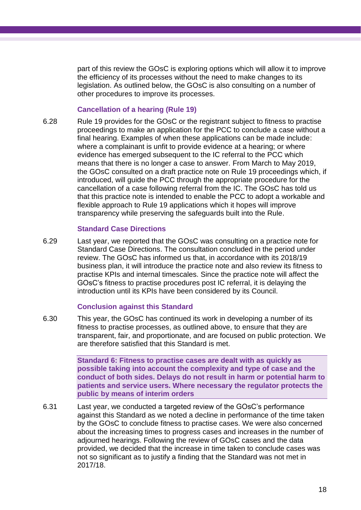part of this review the GOsC is exploring options which will allow it to improve the efficiency of its processes without the need to make changes to its legislation. As outlined below, the GOsC is also consulting on a number of other procedures to improve its processes.

#### **Cancellation of a hearing (Rule 19)**

6.28 Rule 19 provides for the GOsC or the registrant subject to fitness to practise proceedings to make an application for the PCC to conclude a case without a final hearing. Examples of when these applications can be made include: where a complainant is unfit to provide evidence at a hearing; or where evidence has emerged subsequent to the IC referral to the PCC which means that there is no longer a case to answer. From March to May 2019, the GOsC consulted on a draft practice note on Rule 19 proceedings which, if introduced, will guide the PCC through the appropriate procedure for the cancellation of a case following referral from the IC. The GOsC has told us that this practice note is intended to enable the PCC to adopt a workable and flexible approach to Rule 19 applications which it hopes will improve transparency while preserving the safeguards built into the Rule.

### **Standard Case Directions**

6.29 Last year, we reported that the GOsC was consulting on a practice note for Standard Case Directions. The consultation concluded in the period under review. The GOsC has informed us that, in accordance with its 2018/19 business plan, it will introduce the practice note and also review its fitness to practise KPIs and internal timescales. Since the practice note will affect the GOsC's fitness to practise procedures post IC referral, it is delaying the introduction until its KPIs have been considered by its Council.

### **Conclusion against this Standard**

6.30 This year, the GOsC has continued its work in developing a number of its fitness to practise processes, as outlined above, to ensure that they are transparent, fair, and proportionate, and are focused on public protection. We are therefore satisfied that this Standard is met.

> **Standard 6: Fitness to practise cases are dealt with as quickly as possible taking into account the complexity and type of case and the conduct of both sides. Delays do not result in harm or potential harm to patients and service users. Where necessary the regulator protects the public by means of interim orders**

6.31 Last year, we conducted a targeted review of the GOsC's performance against this Standard as we noted a decline in performance of the time taken by the GOsC to conclude fitness to practise cases. We were also concerned about the increasing times to progress cases and increases in the number of adjourned hearings. Following the review of GOsC cases and the data provided, we decided that the increase in time taken to conclude cases was not so significant as to justify a finding that the Standard was not met in 2017/18.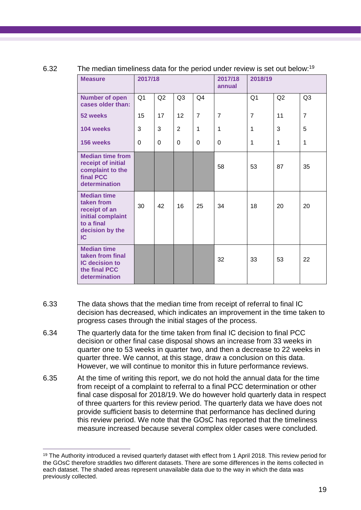| <b>Measure</b>                                                                                                | 2017/18        |                |                 |                | 2017/18<br>2018/19<br>annual |                |             |                |
|---------------------------------------------------------------------------------------------------------------|----------------|----------------|-----------------|----------------|------------------------------|----------------|-------------|----------------|
| <b>Number of open</b><br>cases older than:                                                                    | Q <sub>1</sub> | Q2             | Q <sub>3</sub>  | Q <sub>4</sub> |                              | Q <sub>1</sub> | Q2          | Q <sub>3</sub> |
| 52 weeks                                                                                                      | 15             | 17             | 12 <sup>2</sup> | $\overline{7}$ | $\overline{7}$               | $\overline{7}$ | 11          | $\overline{7}$ |
| 104 weeks                                                                                                     | 3              | 3              | $\overline{2}$  | $\mathbf{1}$   | 1                            | 1              | 3           | 5              |
| 156 weeks                                                                                                     | $\mathbf 0$    | $\overline{0}$ | $\Omega$        | $\mathbf 0$    | $\overline{0}$               | 1              | $\mathbf 1$ | 1              |
| <b>Median time from</b><br>receipt of initial<br>complaint to the<br>final PCC<br>determination               |                |                |                 |                | 58                           | 53             | 87          | 35             |
| <b>Median time</b><br>taken from<br>receipt of an<br>initial complaint<br>to a final<br>decision by the<br>IC | 30             | 42             | 16              | 25             | 34                           | 18             | 20          | 20             |
| <b>Median time</b><br>taken from final<br><b>IC decision to</b><br>the final PCC<br>determination             |                |                |                 |                | 32                           | 33             | 53          | 22             |

### 6.32 The median timeliness data for the period under review is set out below:<sup>19</sup>

- 6.33 The data shows that the median time from receipt of referral to final IC decision has decreased, which indicates an improvement in the time taken to progress cases through the initial stages of the process.
- 6.34 The quarterly data for the time taken from final IC decision to final PCC decision or other final case disposal shows an increase from 33 weeks in quarter one to 53 weeks in quarter two, and then a decrease to 22 weeks in quarter three. We cannot, at this stage, draw a conclusion on this data. However, we will continue to monitor this in future performance reviews.
- 6.35 At the time of writing this report, we do not hold the annual data for the time from receipt of a complaint to referral to a final PCC determination or other final case disposal for 2018/19. We do however hold quarterly data in respect of three quarters for this review period. The quarterly data we have does not provide sufficient basis to determine that performance has declined during this review period. We note that the GOsC has reported that the timeliness measure increased because several complex older cases were concluded.

 $\overline{a}$ <sup>19</sup> The Authority introduced a revised quarterly dataset with effect from 1 April 2018. This review period for the GOsC therefore straddles two different datasets. There are some differences in the items collected in each dataset. The shaded areas represent unavailable data due to the way in which the data was previously collected.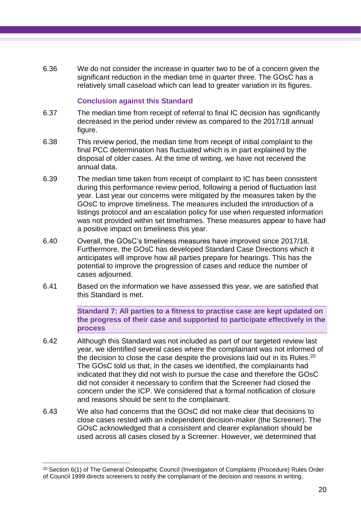6.36 We do not consider the increase in quarter two to be of a concern given the significant reduction in the median time in quarter three. The GOsC has a relatively small caseload which can lead to greater variation in its figures.

### **Conclusion against this Standard**

- 6.37 The median time from receipt of referral to final IC decision has significantly decreased in the period under review as compared to the 2017/18 annual figure.
- 6.38 This review period, the median time from receipt of initial complaint to the final PCC determination has fluctuated which is in part explained by the disposal of older cases. At the time of writing, we have not received the annual data.
- 6.39 The median time taken from receipt of complaint to IC has been consistent during this performance review period, following a period of fluctuation last year. Last year our concerns were mitigated by the measures taken by the GOsC to improve timeliness. The measures included the introduction of a listings protocol and an escalation policy for use when requested information was not provided within set timeframes. These measures appear to have had a positive impact on timeliness this year.
- 6.40 Overall, the GOsC's timeliness measures have improved since 2017/18. Furthermore, the GOsC has developed Standard Case Directions which it anticipates will improve how all parties prepare for hearings. This has the potential to improve the progression of cases and reduce the number of cases adjourned.
- 6.41 Based on the information we have assessed this year, we are satisfied that this Standard is met.

**Standard 7: All parties to a fitness to practise case are kept updated on the progress of their case and supported to participate effectively in the process**

- 6.42 Although this Standard was not included as part of our targeted review last year, we identified several cases where the complainant was not informed of the decision to close the case despite the provisions laid out in its Rules.<sup>20</sup> The GOsC told us that, in the cases we identified, the complainants had indicated that they did not wish to pursue the case and therefore the GOsC did not consider it necessary to confirm that the Screener had closed the concern under the ICP. We considered that a formal notification of closure and reasons should be sent to the complainant.
- 6.43 We also had concerns that the GOsC did not make clear that decisions to close cases rested with an independent decision-maker (the Screener). The GOsC acknowledged that a consistent and clearer explanation should be used across all cases closed by a Screener. However, we determined that

<sup>20</sup> Section 6(1) of The General Osteopathic Council (Investigation of Complaints (Procedure) Rules Order of Council 1999 directs screeners to notify the complainant of the decision and reasons in writing.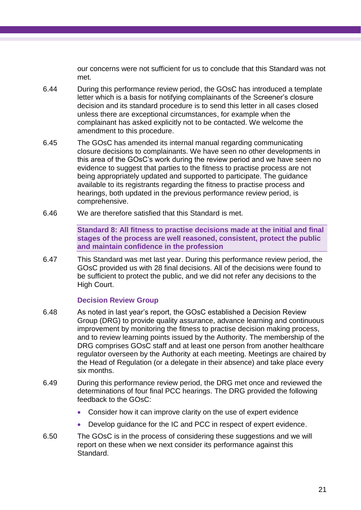our concerns were not sufficient for us to conclude that this Standard was not met.

- 6.44 During this performance review period, the GOsC has introduced a template letter which is a basis for notifying complainants of the Screener's closure decision and its standard procedure is to send this letter in all cases closed unless there are exceptional circumstances, for example when the complainant has asked explicitly not to be contacted. We welcome the amendment to this procedure.
- 6.45 The GOsC has amended its internal manual regarding communicating closure decisions to complainants. We have seen no other developments in this area of the GOsC's work during the review period and we have seen no evidence to suggest that parties to the fitness to practise process are not being appropriately updated and supported to participate. The guidance available to its registrants regarding the fitness to practise process and hearings, both updated in the previous performance review period, is comprehensive.
- 6.46 We are therefore satisfied that this Standard is met.

**Standard 8: All fitness to practise decisions made at the initial and final stages of the process are well reasoned, consistent, protect the public and maintain confidence in the profession**

6.47 This Standard was met last year. During this performance review period, the GOsC provided us with 28 final decisions. All of the decisions were found to be sufficient to protect the public, and we did not refer any decisions to the High Court.

### **Decision Review Group**

- 6.48 As noted in last year's report, the GOsC established a Decision Review Group (DRG) to provide quality assurance, advance learning and continuous improvement by monitoring the fitness to practise decision making process, and to review learning points issued by the Authority. The membership of the DRG comprises GOsC staff and at least one person from another healthcare regulator overseen by the Authority at each meeting. Meetings are chaired by the Head of Regulation (or a delegate in their absence) and take place every six months.
- 6.49 During this performance review period, the DRG met once and reviewed the determinations of four final PCC hearings. The DRG provided the following feedback to the GOsC:
	- Consider how it can improve clarity on the use of expert evidence
	- Develop guidance for the IC and PCC in respect of expert evidence.
- 6.50 The GOsC is in the process of considering these suggestions and we will report on these when we next consider its performance against this Standard.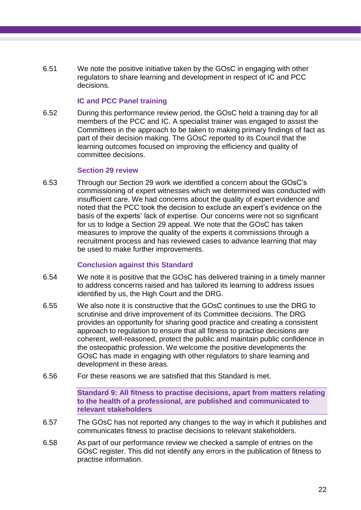6.51 We note the positive initiative taken by the GOsC in engaging with other regulators to share learning and development in respect of IC and PCC decisions.

### **IC and PCC Panel training**

6.52 During this performance review period, the GOsC held a training day for all members of the PCC and IC. A specialist trainer was engaged to assist the Committees in the approach to be taken to making primary findings of fact as part of their decision making. The GOsC reported to its Council that the learning outcomes focused on improving the efficiency and quality of committee decisions.

#### **Section 29 review**

6.53 Through our Section 29 work we identified a concern about the GOsC's commissioning of expert witnesses which we determined was conducted with insufficient care. We had concerns about the quality of expert evidence and noted that the PCC took the decision to exclude an expert's evidence on the basis of the experts' lack of expertise. Our concerns were not so significant for us to lodge a Section 29 appeal. We note that the GOsC has taken measures to improve the quality of the experts it commissions through a recruitment process and has reviewed cases to advance learning that may be used to make further improvements.

### **Conclusion against this Standard**

- 6.54 We note it is positive that the GOsC has delivered training in a timely manner to address concerns raised and has tailored its learning to address issues identified by us, the High Court and the DRG.
- 6.55 We also note it is constructive that the GOsC continues to use the DRG to scrutinise and drive improvement of its Committee decisions. The DRG provides an opportunity for sharing good practice and creating a consistent approach to regulation to ensure that all fitness to practise decisions are coherent, well-reasoned, protect the public and maintain public confidence in the osteopathic profession. We welcome the positive developments the GOsC has made in engaging with other regulators to share learning and development in these areas.
- 6.56 For these reasons we are satisfied that this Standard is met.

**Standard 9: All fitness to practise decisions, apart from matters relating to the health of a professional, are published and communicated to relevant stakeholders**

- 6.57 The GOsC has not reported any changes to the way in which it publishes and communicates fitness to practise decisions to relevant stakeholders.
- 6.58 As part of our performance review we checked a sample of entries on the GOsC register. This did not identify any errors in the publication of fitness to practise information.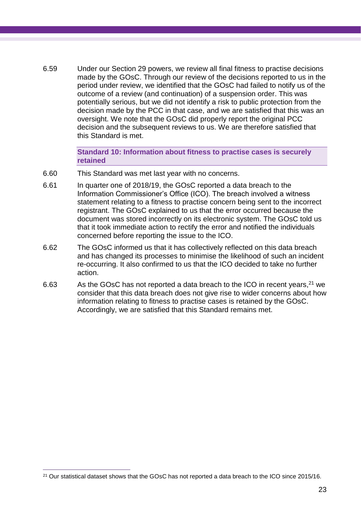6.59 Under our Section 29 powers, we review all final fitness to practise decisions made by the GOsC. Through our review of the decisions reported to us in the period under review, we identified that the GOsC had failed to notify us of the outcome of a review (and continuation) of a suspension order. This was potentially serious, but we did not identify a risk to public protection from the decision made by the PCC in that case, and we are satisfied that this was an oversight. We note that the GOsC did properly report the original PCC decision and the subsequent reviews to us. We are therefore satisfied that this Standard is met.

> **Standard 10: Information about fitness to practise cases is securely retained**

- 6.60 This Standard was met last year with no concerns.
- 6.61 In quarter one of 2018/19, the GOsC reported a data breach to the Information Commissioner's Office (ICO). The breach involved a witness statement relating to a fitness to practise concern being sent to the incorrect registrant. The GOsC explained to us that the error occurred because the document was stored incorrectly on its electronic system. The GOsC told us that it took immediate action to rectify the error and notified the individuals concerned before reporting the issue to the ICO.
- 6.62 The GOsC informed us that it has collectively reflected on this data breach and has changed its processes to minimise the likelihood of such an incident re-occurring. It also confirmed to us that the ICO decided to take no further action.
- 6.63 As the GOsC has not reported a data breach to the ICO in recent years,  $21$  we consider that this data breach does not give rise to wider concerns about how information relating to fitness to practise cases is retained by the GOsC. Accordingly, we are satisfied that this Standard remains met.

<sup>21</sup> Our statistical dataset shows that the GOsC has not reported a data breach to the ICO since 2015/16.